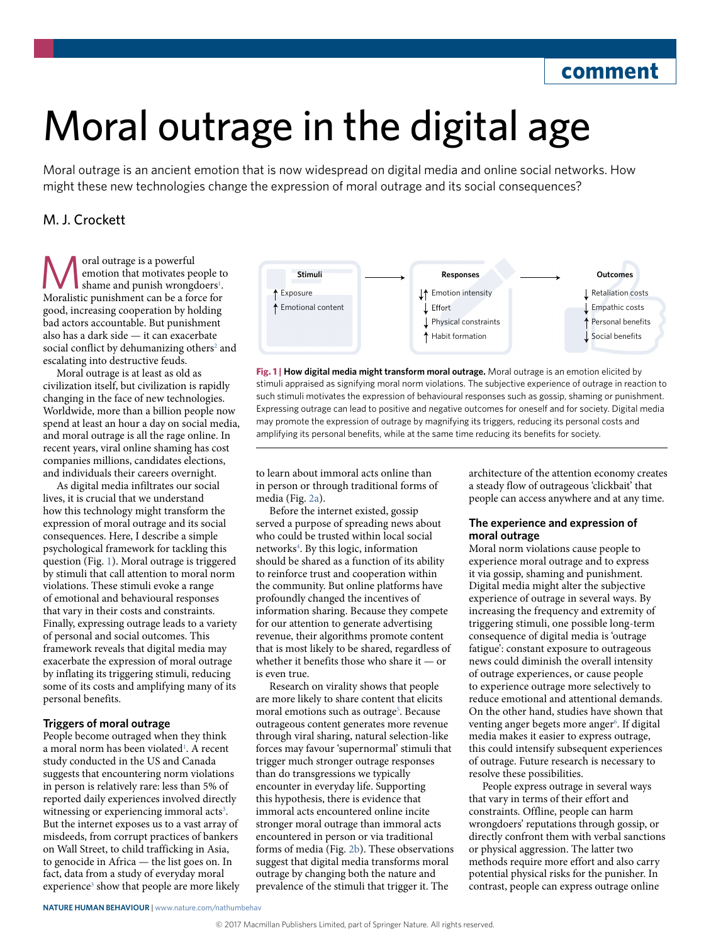# Moral outrage in the digital age

Moral outrage is an ancient emotion that is now widespread on digital media and online social networks. How might these new technologies change the expression of moral outrage and its social consequences?

## M. J. Crockett

oral outrage is a powerful emotion that motivates people to shame and punish wrongdoers<sup>[1](#page-2-0)</sup>. Moralistic punishment can be a force for good, increasing cooperation by holding bad actors accountable. But punishment also has a dark side — it can exacerbate social conflict by dehumanizing others<sup>2</sup> and escalating into destructive feuds.

Moral outrage is at least as old as civilization itself, but civilization is rapidly changing in the face of new technologies. Worldwide, more than a billion people now spend at least an hour a day on social media, and moral outrage is all the rage online. In recent years, viral online shaming has cost companies millions, candidates elections, and individuals their careers overnight.

As digital media infiltrates our social lives, it is crucial that we understand how this technology might transform the expression of moral outrage and its social consequences. Here, I describe a simple psychological framework for tackling this question (Fig. [1\)](#page-0-0). Moral outrage is triggered by stimuli that call attention to moral norm violations. These stimuli evoke a range of emotional and behavioural responses that vary in their costs and constraints. Finally, expressing outrage leads to a variety of personal and social outcomes. This framework reveals that digital media may exacerbate the expression of moral outrage by inflating its triggering stimuli, reducing some of its costs and amplifying many of its personal benefits.

## **Triggers of moral outrage**

People become outraged when they think a moral norm has been violated<sup>1</sup>. A recent study conducted in the US and Canada suggests that encountering norm violations in person is relatively rare: less than 5% of reported daily experiences involved directly witnessing or experiencing immoral acts<sup>3</sup>. But the internet exposes us to a vast array of misdeeds, from corrupt practices of bankers on Wall Street, to child trafficking in Asia, to genocide in Africa — the list goes on. In fact, data from a study of everyday moral experience<sup>3</sup> show that people are more likely



<span id="page-0-0"></span>**Fig. 1 | How digital media might transform moral outrage.** Moral outrage is an emotion elicited by stimuli appraised as signifying moral norm violations. The subjective experience of outrage in reaction to such stimuli motivates the expression of behavioural responses such as gossip, shaming or punishment. Expressing outrage can lead to positive and negative outcomes for oneself and for society. Digital media may promote the expression of outrage by magnifying its triggers, reducing its personal costs and amplifying its personal benefits, while at the same time reducing its benefits for society.

to learn about immoral acts online than in person or through traditional forms of media (Fig. [2a](#page-1-0)).

Before the internet existed, gossip served a purpose of spreading news about who could be trusted within local social networks<sup>[4](#page-2-3)</sup>. By this logic, information should be shared as a function of its ability to reinforce trust and cooperation within the community. But online platforms have profoundly changed the incentives of information sharing. Because they compete for our attention to generate advertising revenue, their algorithms promote content that is most likely to be shared, regardless of whether it benefits those who share it — or is even true.

Research on virality shows that people are more likely to share content that elicits moral emotions such as outrage<sup>5</sup>. Because outrageous content generates more revenue through viral sharing, natural selection-like forces may favour 'supernormal' stimuli that trigger much stronger outrage responses than do transgressions we typically encounter in everyday life. Supporting this hypothesis, there is evidence that immoral acts encountered online incite stronger moral outrage than immoral acts encountered in person or via traditional forms of media (Fig. [2b](#page-1-0)). These observations suggest that digital media transforms moral outrage by changing both the nature and prevalence of the stimuli that trigger it. The

architecture of the attention economy creates a steady flow of outrageous 'clickbait' that people can access anywhere and at any time.

## **The experience and expression of moral outrage**

Moral norm violations cause people to experience moral outrage and to express it via gossip, shaming and punishment. Digital media might alter the subjective experience of outrage in several ways. By increasing the frequency and extremity of triggering stimuli, one possible long-term consequence of digital media is 'outrage fatigue': constant exposure to outrageous news could diminish the overall intensity of outrage experiences, or cause people to experience outrage more selectively to reduce emotional and attentional demands. On the other hand, studies have shown that venting anger begets more anger<sup>6</sup>. If digital media makes it easier to express outrage, this could intensify subsequent experiences of outrage. Future research is necessary to resolve these possibilities.

People express outrage in several ways that vary in terms of their effort and constraints. Offline, people can harm wrongdoers' reputations through gossip, or directly confront them with verbal sanctions or physical aggression. The latter two methods require more effort and also carry potential physical risks for the punisher. In contrast, people can express outrage online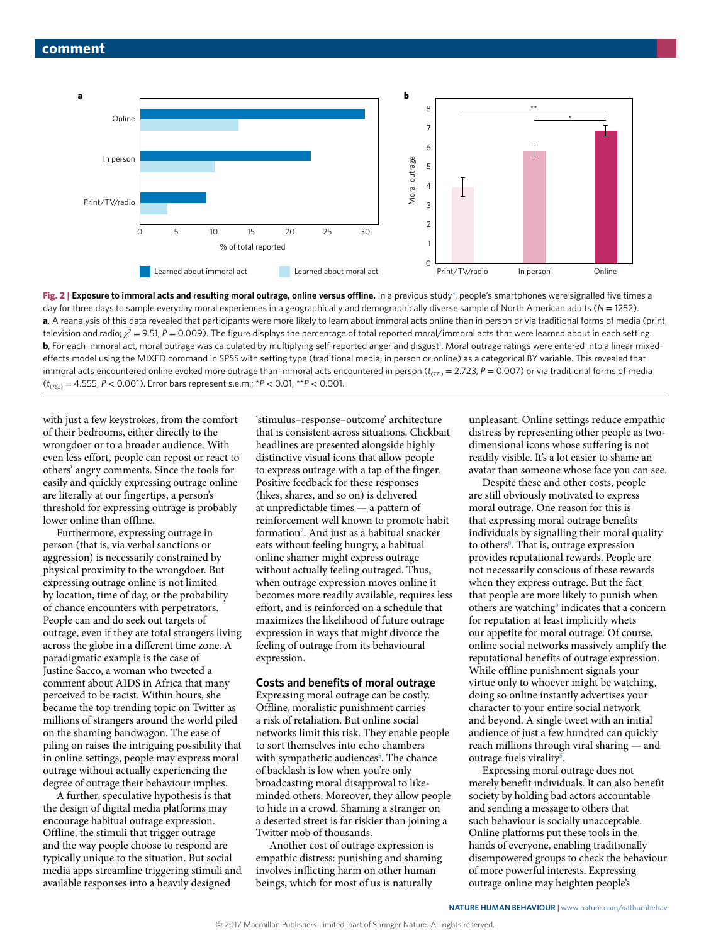

<span id="page-1-0"></span>**Fig. 2 | Exposure to immoral acts and resulting moral outrage, online versus offline. In a previous study<sup>[3](#page-2-2)</sup>, people's smartphones were signalled five times a** day for three days to sample everyday moral experiences in a geographically and demographically diverse sample of North American adults (*N* = 1252). **a**, A reanalysis of this data revealed that participants were more likely to learn about immoral acts online than in person or via traditional forms of media (print, television and radio;  $\chi^2$  = 9.51, *P* = 0.009). The figure displays the percentage of total reported moral/immoral acts that were learned about in each setting.  $\mathbf{b}$ , For each immoral act, moral outrage was calculated by multiplying self-reported anger and disgust<sup>1</sup>. Moral outrage ratings were entered into a linear mixedeffects model using the MIXED command in SPSS with setting type (traditional media, in person or online) as a categorical BY variable. This revealed that immoral acts encountered online evoked more outrage than immoral acts encountered in person ( $t_{(771)}$  = 2.723,  $P$  = 0.007) or via traditional forms of media (*t*(762) = 4.555, *P* < 0.001). Error bars represent s.e.m.; \**P* < 0.01, \*\**P* < 0.001.

with just a few keystrokes, from the comfort of their bedrooms, either directly to the wrongdoer or to a broader audience. With even less effort, people can repost or react to others' angry comments. Since the tools for easily and quickly expressing outrage online are literally at our fingertips, a person's threshold for expressing outrage is probably lower online than offline.

Furthermore, expressing outrage in person (that is, via verbal sanctions or aggression) is necessarily constrained by physical proximity to the wrongdoer. But expressing outrage online is not limited by location, time of day, or the probability of chance encounters with perpetrators. People can and do seek out targets of outrage, even if they are total strangers living across the globe in a different time zone. A paradigmatic example is the case of Justine Sacco, a woman who tweeted a comment about AIDS in Africa that many perceived to be racist. Within hours, she became the top trending topic on Twitter as millions of strangers around the world piled on the shaming bandwagon. The ease of piling on raises the intriguing possibility that in online settings, people may express moral outrage without actually experiencing the degree of outrage their behaviour implies.

A further, speculative hypothesis is that the design of digital media platforms may encourage habitual outrage expression. Offline, the stimuli that trigger outrage and the way people choose to respond are typically unique to the situation. But social media apps streamline triggering stimuli and available responses into a heavily designed

'stimulus–response–outcome' architecture that is consistent across situations. Clickbait headlines are presented alongside highly distinctive visual icons that allow people to express outrage with a tap of the finger. Positive feedback for these responses (likes, shares, and so on) is delivered at unpredictable times — a pattern of reinforcement well known to promote habit formation<sup>[7](#page-2-6)</sup>. And just as a habitual snacker eats without feeling hungry, a habitual online shamer might express outrage without actually feeling outraged. Thus, when outrage expression moves online it becomes more readily available, requires less effort, and is reinforced on a schedule that maximizes the likelihood of future outrage expression in ways that might divorce the feeling of outrage from its behavioural expression.

### **Costs and benefits of moral outrage**

Expressing moral outrage can be costly. Offline, moralistic punishment carries a risk of retaliation. But online social networks limit this risk. They enable people to sort themselves into echo chambers with sympathetic audiences<sup>[5](#page-2-4)</sup>. The chance of backlash is low when you're only broadcasting moral disapproval to likeminded others. Moreover, they allow people to hide in a crowd. Shaming a stranger on a deserted street is far riskier than joining a Twitter mob of thousands.

Another cost of outrage expression is empathic distress: punishing and shaming involves inflicting harm on other human beings, which for most of us is naturally

unpleasant. Online settings reduce empathic distress by representing other people as twodimensional icons whose suffering is not readily visible. It's a lot easier to shame an avatar than someone whose face you can see.

Despite these and other costs, people are still obviously motivated to express moral outrage. One reason for this is that expressing moral outrage benefits individuals by signalling their moral quality to others<sup>[8](#page-2-7)</sup>. That is, outrage expression provides reputational rewards. People are not necessarily conscious of these rewards when they express outrage. But the fact that people are more likely to punish when others are watching<sup>9</sup> indicates that a concern for reputation at least implicitly whets our appetite for moral outrage. Of course, online social networks massively amplify the reputational benefits of outrage expression. While offline punishment signals your virtue only to whoever might be watching, doing so online instantly advertises your character to your entire social network and beyond. A single tweet with an initial audience of just a few hundred can quickly reach millions through viral sharing — and outrage fuels virality<sup>[5](#page-2-4)</sup>.

Expressing moral outrage does not merely benefit individuals. It can also benefit society by holding bad actors accountable and sending a message to others that such behaviour is socially unacceptable. Online platforms put these tools in the hands of everyone, enabling traditionally disempowered groups to check the behaviour of more powerful interests. Expressing outrage online may heighten people's